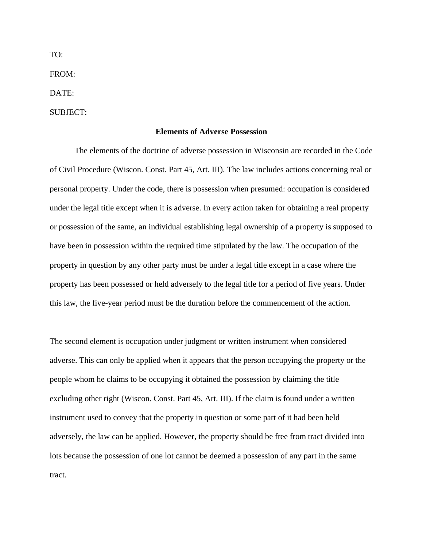FROM:

DATE:

SUBJECT:

#### **Elements of Adverse Possession**

The elements of the doctrine of adverse possession in Wisconsin are recorded in the Code of Civil Procedure (Wiscon. Const. Part 45, Art. III). The law includes actions concerning real or personal property. Under the code, there is possession when presumed: occupation is considered under the legal title except when it is adverse. In every action taken for obtaining a real property or possession of the same, an individual establishing legal ownership of a property is supposed to have been in possession within the required time stipulated by the law. The occupation of the property in question by any other party must be under a legal title except in a case where the property has been possessed or held adversely to the legal title for a period of five years. Under this law, the five-year period must be the duration before the commencement of the action.

The second element is occupation under judgment or written instrument when considered adverse. This can only be applied when it appears that the person occupying the property or the people whom he claims to be occupying it obtained the possession by claiming the title excluding other right (Wiscon. Const. Part 45, Art. III). If the claim is found under a written instrument used to convey that the property in question or some part of it had been held adversely, the law can be applied. However, the property should be free from tract divided into lots because the possession of one lot cannot be deemed a possession of any part in the same tract.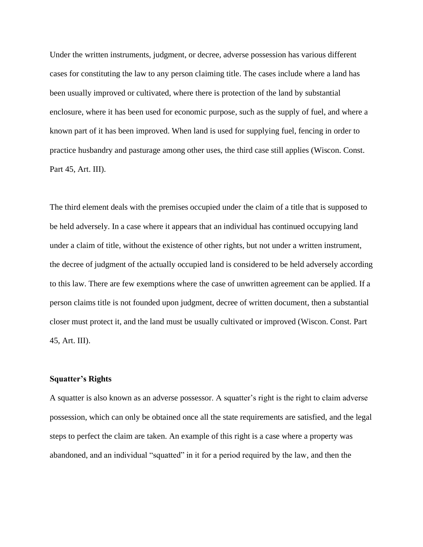Under the written instruments, judgment, or decree, adverse possession has various different cases for constituting the law to any person claiming title. The cases include where a land has been usually improved or cultivated, where there is protection of the land by substantial enclosure, where it has been used for economic purpose, such as the supply of fuel, and where a known part of it has been improved. When land is used for supplying fuel, fencing in order to practice husbandry and pasturage among other uses, the third case still applies (Wiscon. Const. Part 45, Art. III).

The third element deals with the premises occupied under the claim of a title that is supposed to be held adversely. In a case where it appears that an individual has continued occupying land under a claim of title, without the existence of other rights, but not under a written instrument, the decree of judgment of the actually occupied land is considered to be held adversely according to this law. There are few exemptions where the case of unwritten agreement can be applied. If a person claims title is not founded upon judgment, decree of written document, then a substantial closer must protect it, and the land must be usually cultivated or improved (Wiscon. Const. Part 45, Art. III).

## **Squatter's Rights**

A squatter is also known as an adverse possessor. A squatter's right is the right to claim adverse possession, which can only be obtained once all the state requirements are satisfied, and the legal steps to perfect the claim are taken. An example of this right is a case where a property was abandoned, and an individual "squatted" in it for a period required by the law, and then the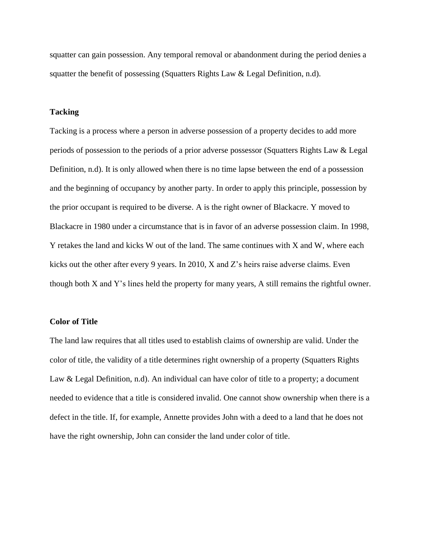squatter can gain possession. Any temporal removal or abandonment during the period denies a squatter the benefit of possessing (Squatters Rights Law  $&$  Legal Definition, n.d).

## **Tacking**

Tacking is a process where a person in adverse possession of a property decides to add more periods of possession to the periods of a prior adverse possessor (Squatters Rights Law & Legal Definition, n.d). It is only allowed when there is no time lapse between the end of a possession and the beginning of occupancy by another party. In order to apply this principle, possession by the prior occupant is required to be diverse. A is the right owner of Blackacre. Y moved to Blackacre in 1980 under a circumstance that is in favor of an adverse possession claim. In 1998, Y retakes the land and kicks W out of the land. The same continues with X and W, where each kicks out the other after every 9 years. In 2010, X and Z's heirs raise adverse claims. Even though both X and Y's lines held the property for many years, A still remains the rightful owner.

## **Color of Title**

The land law requires that all titles used to establish claims of ownership are valid. Under the color of title, the validity of a title determines right ownership of a property (Squatters Rights Law & Legal Definition, n.d). An individual can have color of title to a property; a document needed to evidence that a title is considered invalid. One cannot show ownership when there is a defect in the title. If, for example, Annette provides John with a deed to a land that he does not have the right ownership, John can consider the land under color of title.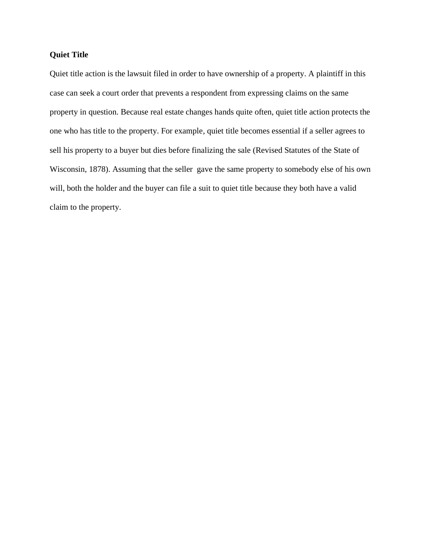# **Quiet Title**

Quiet title action is the lawsuit filed in order to have ownership of a property. A plaintiff in this case can seek a court order that prevents a respondent from expressing claims on the same property in question. Because real estate changes hands quite often, quiet title action protects the one who has title to the property. For example, quiet title becomes essential if a seller agrees to sell his property to a buyer but dies before finalizing the sale (Revised Statutes of the State of Wisconsin, 1878). Assuming that the seller gave the same property to somebody else of his own will, both the holder and the buyer can file a suit to quiet title because they both have a valid claim to the property.